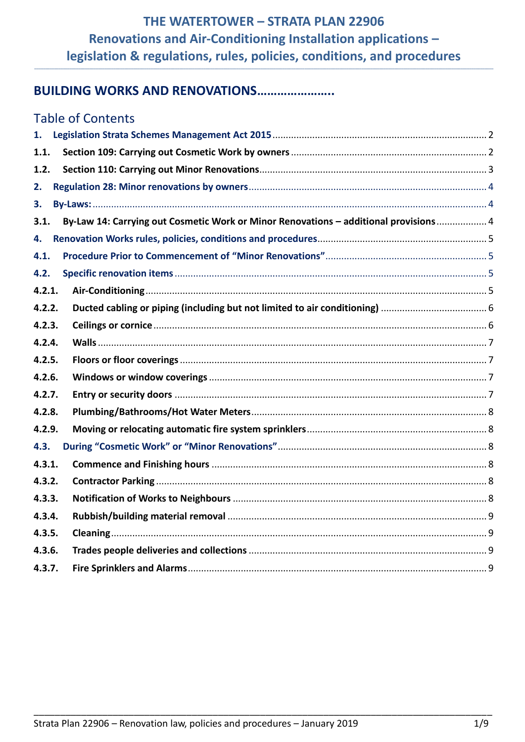# **BUILDING WORKS AND RENOVATIONS.......................**

| <b>Table of Contents</b>                                                                     |  |
|----------------------------------------------------------------------------------------------|--|
| 1.                                                                                           |  |
| 1.1.                                                                                         |  |
| 1.2.                                                                                         |  |
| 2.                                                                                           |  |
| 3.                                                                                           |  |
| By-Law 14: Carrying out Cosmetic Work or Minor Renovations - additional provisions 4<br>3.1. |  |
| 4.                                                                                           |  |
| 4.1.                                                                                         |  |
| 4.2.                                                                                         |  |
| 4.2.1.                                                                                       |  |
| 4.2.2.                                                                                       |  |
| 4.2.3.                                                                                       |  |
| 4.2.4.                                                                                       |  |
| 4.2.5.                                                                                       |  |
| 4.2.6.                                                                                       |  |
| 4.2.7.                                                                                       |  |
| 4.2.8.                                                                                       |  |
| 4.2.9.                                                                                       |  |
| 4.3.                                                                                         |  |
| 4.3.1.                                                                                       |  |
| 4.3.2.                                                                                       |  |
| 4.3.3.                                                                                       |  |
| 4.3.4.                                                                                       |  |
| 4.3.5.                                                                                       |  |
| 4.3.6.                                                                                       |  |
| 4.3.7.                                                                                       |  |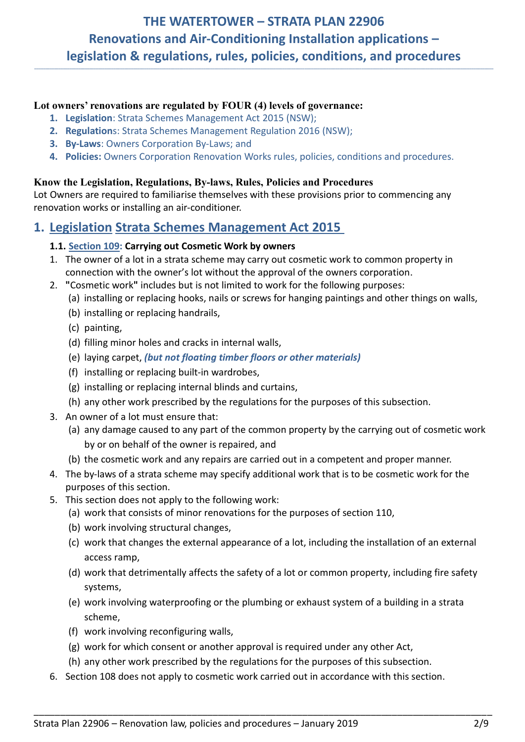**\_\_\_\_\_\_\_\_\_\_\_\_\_\_\_\_\_\_\_\_\_\_\_\_\_\_\_\_\_\_\_\_\_\_\_\_\_\_\_\_\_\_\_\_\_\_\_\_\_\_\_\_\_\_\_\_\_\_\_\_\_\_\_\_\_\_\_\_\_\_\_\_\_\_\_\_\_\_\_\_\_\_\_\_\_\_\_\_\_\_\_\_\_\_\_\_\_\_\_\_\_\_\_\_\_\_\_\_\_\_\_\_\_\_\_\_\_\_\_\_\_\_\_\_\_\_\_\_\_\_\_\_\_\_\_\_\_\_\_\_\_\_\_\_\_\_\_\_\_\_\_\_\_\_\_\_\_\_\_\_\_\_\_\_\_\_\_\_\_\_\_\_\_\_\_\_\_\_\_\_\_\_\_\_\_\_\_\_\_\_\_\_\_\_\_\_\_\_\_\_\_\_\_\_\_\_\_\_\_**

## **Lot owners' renovations are regulated by FOUR (4) levels of governance:**

- **1. Legislation**: Strata Schemes Management Act 2015 (NSW);
- **2. Regulation**s: Strata Schemes Management Regulation 2016 (NSW);
- **3. By-Laws**: Owners Corporation By-Laws; and
- **4. Policies:** Owners Corporation Renovation Works rules, policies, conditions and procedures.

## **Know the Legislation, Regulations, By-laws, Rules, Policies and Procedures**

Lot Owners are required to familiarise themselves with these provisions prior to commencing any renovation works or installing an air-conditioner.

## <span id="page-1-0"></span>**1. Legislation Strata Schemes Management Act 2015**

## <span id="page-1-1"></span>**1.1. Section 109: Carrying out Cosmetic Work by owners**

- 1. The [owner](http://www.austlii.edu.au/au/legis/nsw/consol_act/ssma2015242/s4.html#owner) of a lot in a [strata scheme](http://www.austlii.edu.au/au/legis/nsw/consol_act/ssma2015242/s4.html#strata_scheme) may carry out [cosmetic work](http://www.austlii.edu.au/au/legis/nsw/consol_act/ssma2015242/s109.html#cosmetic_work) to [common property](http://www.austlii.edu.au/au/legis/nsw/consol_act/ssma2015242/s4.html#common_property) in connection with th[e owner'](http://www.austlii.edu.au/au/legis/nsw/consol_act/ssma2015242/s4.html#owner)s lot without the approval of the [owners corporation.](http://www.austlii.edu.au/au/legis/nsw/consol_act/ssma2015242/s4.html#owners_corporation)
- 2. **"**Cosmetic work**"** includes but is not limited to work for the following purposes:
	- (a) installing or replacing hooks, nails or screws for hanging paintings and other things on [walls,](http://www.austlii.edu.au/au/legis/nsw/consol_act/ssma2015242/s4.html#wall)
	- (b) installing or replacing handrails,
	- (c) painting,
	- (d) filling minor holes and cracks in internal [walls,](http://www.austlii.edu.au/au/legis/nsw/consol_act/ssma2015242/s4.html#wall)
	- (e) laying carpet, *(but not floating timber floors or other materials)*
	- (f) installing or replacing built-in wardrobes,
	- (g) installing or replacing internal blinds and curtains,
	- (h) any other work prescribed by the regulations for the purposes of this subsection.
- 3. An [owner](http://www.austlii.edu.au/au/legis/nsw/consol_act/ssma2015242/s4.html#owner) of a lot must ensure that:
	- (a) any damage caused to any part of the [common property](http://www.austlii.edu.au/au/legis/nsw/consol_act/ssma2015242/s4.html#common_property) by the carrying out of [cosmetic work](http://www.austlii.edu.au/au/legis/nsw/consol_act/ssma2015242/s109.html#cosmetic_work) by or on behalf of th[e owner](http://www.austlii.edu.au/au/legis/nsw/consol_act/ssma2015242/s4.html#owner) is repaired, and
	- (b) the [cosmetic work](http://www.austlii.edu.au/au/legis/nsw/consol_act/ssma2015242/s109.html#cosmetic_work) and any repairs are carried out in a competent and proper manner.
- 4. The [by-laws](http://www.austlii.edu.au/cgi-bin/viewdoc/au/legis/nsw/consol_act/ssma2015242/s4.html#by-laws) of [a strata scheme](http://www.austlii.edu.au/cgi-bin/viewdoc/au/legis/nsw/consol_act/ssma2015242/s4.html#strata_scheme) may specify additional work that is to be [cosmetic work](http://www.austlii.edu.au/cgi-bin/viewdoc/au/legis/nsw/consol_act/ssma2015242/s109.html#cosmetic_work) for the purposes of this section.
- 5. This section does not apply to the following work:
	- (a) work that consists of [minor renovations](http://www.austlii.edu.au/cgi-bin/viewdoc/au/legis/nsw/consol_act/ssma2015242/s110.html#minor_renovations) for the purposes of section 110,
	- (b) work involving structural [changes,](http://www.austlii.edu.au/cgi-bin/viewdoc/au/legis/nsw/consol_act/ssma2015242/s4.html#change)
	- (c) work tha[t changes](http://www.austlii.edu.au/cgi-bin/viewdoc/au/legis/nsw/consol_act/ssma2015242/s4.html#change) the external appearance of a lot, including the installation of an external access ramp,
	- (d) work that detrimentally affects the safety of a lot or [common property,](http://www.austlii.edu.au/cgi-bin/viewdoc/au/legis/nsw/consol_act/ssma2015242/s4.html#common_property) including fire safety systems,
	- (e) work involving waterproofing or the plumbing or exhaust system of a [building](http://www.austlii.edu.au/cgi-bin/viewdoc/au/legis/nsw/consol_act/ssma2015242/s4.html#building) in [a strata](http://www.austlii.edu.au/cgi-bin/viewdoc/au/legis/nsw/consol_act/ssma2015242/s4.html#strata_scheme)  [scheme,](http://www.austlii.edu.au/cgi-bin/viewdoc/au/legis/nsw/consol_act/ssma2015242/s4.html#strata_scheme)
	- (f) work involving reconfiguring [walls,](http://www.austlii.edu.au/cgi-bin/viewdoc/au/legis/nsw/consol_act/ssma2015242/s4.html#wall)
	- (g) work for which consent or another approval is required under any other Act,
	- (h) any other work prescribed by the regulations for the purposes of this subsection.
- 6. Section 108 does not apply to [cosmetic work](http://www.austlii.edu.au/cgi-bin/viewdoc/au/legis/nsw/consol_act/ssma2015242/s109.html#cosmetic_work) carried out in accordance with this section.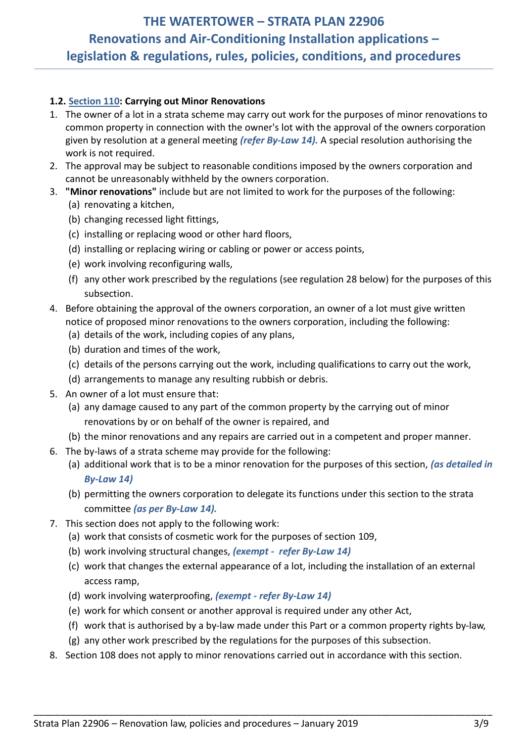**\_\_\_\_\_\_\_\_\_\_\_\_\_\_\_\_\_\_\_\_\_\_\_\_\_\_\_\_\_\_\_\_\_\_\_\_\_\_\_\_\_\_\_\_\_\_\_\_\_\_\_\_\_\_\_\_\_\_\_\_\_\_\_\_\_\_\_\_\_\_\_\_\_\_\_\_\_\_\_\_\_\_\_\_\_\_\_\_\_\_\_\_\_\_\_\_\_\_\_\_\_\_\_\_\_\_\_\_\_\_\_\_\_\_\_\_\_\_\_\_\_\_\_\_\_\_\_\_\_\_\_\_\_\_\_\_\_\_\_\_\_\_\_\_\_\_\_\_\_\_\_\_\_\_\_\_\_\_\_\_\_\_\_\_\_\_\_\_\_\_\_\_\_\_\_\_\_\_\_\_\_\_\_\_\_\_\_\_\_\_\_\_\_\_\_\_\_\_\_\_\_\_\_\_\_\_\_\_\_**

## <span id="page-2-0"></span>**1.2. Section 110: Carrying out Minor Renovations**

- 1. The [owner](http://www.austlii.edu.au/cgi-bin/viewdoc/au/legis/nsw/consol_act/ssma2015242/s4.html#owner) of a lot in a [strata scheme](http://www.austlii.edu.au/cgi-bin/viewdoc/au/legis/nsw/consol_act/ssma2015242/s4.html#strata_scheme) may carry out work for the purposes of [minor renovations](http://www.austlii.edu.au/cgi-bin/viewdoc/au/legis/nsw/consol_act/ssma2015242/s110.html#minor_renovations) to [common property](http://www.austlii.edu.au/cgi-bin/viewdoc/au/legis/nsw/consol_act/ssma2015242/s4.html#common_property) in connection with the [owner'](http://www.austlii.edu.au/cgi-bin/viewdoc/au/legis/nsw/consol_act/ssma2015242/s4.html#owner)s lot with the approval of the [owners corporation](http://www.austlii.edu.au/cgi-bin/viewdoc/au/legis/nsw/consol_act/ssma2015242/s4.html#owners_corporation) given by resolution at a general meeting *(refer By-Law 14).* A [special resolution](http://www.austlii.edu.au/cgi-bin/viewdoc/au/legis/nsw/consol_act/ssma2015242/s5.html#special_resolution) authorising the work is not required.
- 2. The approval may be subject to reasonable conditions imposed by the [owners corporation](http://www.austlii.edu.au/cgi-bin/viewdoc/au/legis/nsw/consol_act/ssma2015242/s4.html#owners_corporation) and cannot be unreasonably withheld by the [owners corporation.](http://www.austlii.edu.au/cgi-bin/viewdoc/au/legis/nsw/consol_act/ssma2015242/s4.html#owners_corporation)
- 3. **"Minor renovations"** include but are not limited to work for the purposes of the following: (a) renovating a kitchen,
	- (b) changing recessed light fittings,
	- (c) installing or replacing wood or other hard [floors,](http://www.austlii.edu.au/cgi-bin/viewdoc/au/legis/nsw/consol_act/ssma2015242/s4.html#floor)
	- (d) installing or replacing wiring or cabling or power or access points,
	- (e) work involving reconfiguring [walls,](http://www.austlii.edu.au/cgi-bin/viewdoc/au/legis/nsw/consol_act/ssma2015242/s4.html#wall)
	- (f) any other work prescribed by the regulations (see regulation 28 below) for the purposes of this subsection.
- 4. Before obtaining the approval of the [owners corporation,](http://www.austlii.edu.au/cgi-bin/viewdoc/au/legis/nsw/consol_act/ssma2015242/s4.html#owners_corporation) an [owner](http://www.austlii.edu.au/cgi-bin/viewdoc/au/legis/nsw/consol_act/ssma2015242/s4.html#owner) of a lot must give written notice of proposed [minor renovations](http://www.austlii.edu.au/cgi-bin/viewdoc/au/legis/nsw/consol_act/ssma2015242/s110.html#minor_renovations) to the [owners corporation,](http://www.austlii.edu.au/cgi-bin/viewdoc/au/legis/nsw/consol_act/ssma2015242/s4.html#owners_corporation) including the following:
	- (a) details of the work, including copies of any plans,
	- (b) duration and times of the work,
	- (c) details of the persons carrying out the work, including qualifications to carry out the work,
	- (d) arrangements to manage any resulting rubbish or debris.
- 5. An [owner](http://www.austlii.edu.au/cgi-bin/viewdoc/au/legis/nsw/consol_act/ssma2015242/s4.html#owner) of a lot must ensure that:
	- (a) any damage caused to any part of the [common property](http://www.austlii.edu.au/cgi-bin/viewdoc/au/legis/nsw/consol_act/ssma2015242/s4.html#common_property) by the carrying out of [minor](http://www.austlii.edu.au/cgi-bin/viewdoc/au/legis/nsw/consol_act/ssma2015242/s110.html#minor_renovations)  [renovations](http://www.austlii.edu.au/cgi-bin/viewdoc/au/legis/nsw/consol_act/ssma2015242/s110.html#minor_renovations) by or on behalf of the [owner](http://www.austlii.edu.au/cgi-bin/viewdoc/au/legis/nsw/consol_act/ssma2015242/s4.html#owner) is repaired, and
	- (b) th[e minor renovations](http://www.austlii.edu.au/cgi-bin/viewdoc/au/legis/nsw/consol_act/ssma2015242/s110.html#minor_renovations) and any repairs are carried out in a competent and proper manner.
- 6. The [by-laws](http://www.austlii.edu.au/cgi-bin/viewdoc/au/legis/nsw/consol_act/ssma2015242/s4.html#by-laws) of a [strata scheme](http://www.austlii.edu.au/cgi-bin/viewdoc/au/legis/nsw/consol_act/ssma2015242/s4.html#strata_scheme) may provide for the following:
	- (a) additional work that is to be a minor renovation for the purposes of this section, *(as detailed in By-Law 14)*
	- (b) permitting th[e owners corporation](http://www.austlii.edu.au/cgi-bin/viewdoc/au/legis/nsw/consol_act/ssma2015242/s4.html#owners_corporation) to delegate it[s functions](http://www.austlii.edu.au/cgi-bin/viewdoc/au/legis/nsw/consol_act/ssma2015242/s4.html#function) under this section to the [strata](http://www.austlii.edu.au/cgi-bin/viewdoc/au/legis/nsw/consol_act/ssma2015242/s4.html#strata_committee)  [committee](http://www.austlii.edu.au/cgi-bin/viewdoc/au/legis/nsw/consol_act/ssma2015242/s4.html#strata_committee) *(as per By-Law 14).*
- 7. This section does not apply to the following work:
	- (a) work that consists of cosmetic work for the purposes of section 109,
	- (b) work involving structural [changes,](http://www.austlii.edu.au/cgi-bin/viewdoc/au/legis/nsw/consol_act/ssma2015242/s4.html#change) *(exempt refer By-Law 14)*
	- (c) work that [changes](http://www.austlii.edu.au/cgi-bin/viewdoc/au/legis/nsw/consol_act/ssma2015242/s4.html#change) the external appearance of a lot, including the installation of an external access ramp,
	- (d) work involving waterproofing, *(exempt - refer By-Law 14)*
	- (e) work for which consent or another approval is required under any other Act,
	- (f) work that is authorised by a by-law made under this Part or a [common property rights by-law,](http://www.austlii.edu.au/cgi-bin/viewdoc/au/legis/nsw/consol_act/ssma2015242/s4.html#common_property_rights_by-law)
	- (g) any other work prescribed by the regulations for the purposes of this subsection.
- 8. Section 108 does not apply to [minor renovations](http://www.austlii.edu.au/cgi-bin/viewdoc/au/legis/nsw/consol_act/ssma2015242/s110.html#minor_renovations) carried out in accordance with this section.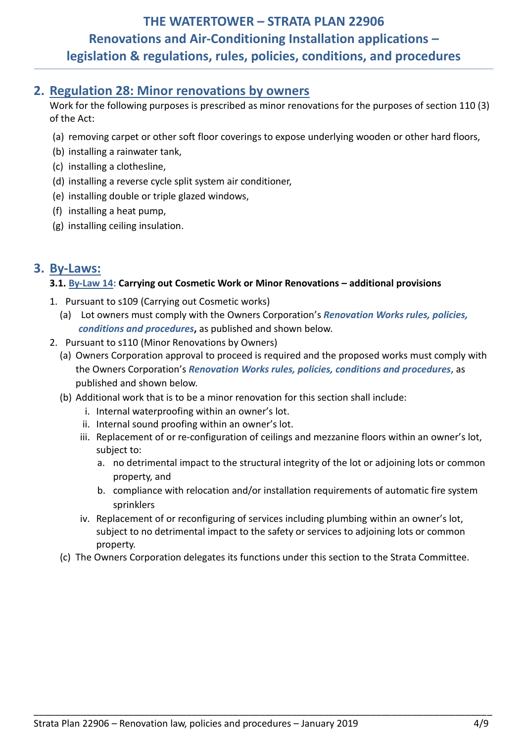**\_\_\_\_\_\_\_\_\_\_\_\_\_\_\_\_\_\_\_\_\_\_\_\_\_\_\_\_\_\_\_\_\_\_\_\_\_\_\_\_\_\_\_\_\_\_\_\_\_\_\_\_\_\_\_\_\_\_\_\_\_\_\_\_\_\_\_\_\_\_\_\_\_\_\_\_\_\_\_\_\_\_\_\_\_\_\_\_\_\_\_\_\_\_\_\_\_\_\_\_\_\_\_\_\_\_\_\_\_\_\_\_\_\_\_\_\_\_\_\_\_\_\_\_\_\_\_\_\_\_\_\_\_\_\_\_\_\_\_\_\_\_\_\_\_\_\_\_\_\_\_\_\_\_\_\_\_\_\_\_\_\_\_\_\_\_\_\_\_\_\_\_\_\_\_\_\_\_\_\_\_\_\_\_\_\_\_\_\_\_\_\_\_\_\_\_\_\_\_\_\_\_\_\_\_\_\_\_\_**

## <span id="page-3-0"></span>**2. Regulation 28: Minor renovations by owners**

Work for the following purposes is prescribed as minor renovations for the purposes of section 110 (3) of the Act:

- (a) removing carpet or other soft floor coverings to expose underlying wooden or other hard floors,
- (b) installing a rainwater tank,
- (c) installing a clothesline,
- (d) installing a reverse cycle split system air conditioner,
- (e) installing double or triple glazed windows,
- (f) installing a heat pump,
- (g) installing ceiling insulation.

## <span id="page-3-2"></span><span id="page-3-1"></span>**3. By-Laws:**

## **3.1. By-Law 14: Carrying out Cosmetic Work or Minor Renovations – additional provisions**

- 1. Pursuant to s109 (Carrying out Cosmetic works)
	- (a) Lot owners must comply with the Owners Corporation's *Renovation Works rules, policies, conditions and procedures***,** as published and shown below.
- 2. Pursuant to s110 (Minor Renovations by Owners)
	- (a) Owners Corporation approval to proceed is required and the proposed works must comply with the Owners Corporation's *Renovation Works rules, policies, conditions and procedures***,** as published and shown below.
	- (b) Additional work that is to be a minor renovation for this section shall include:
		- i. Internal waterproofing within an owner's lot.
		- ii. Internal sound proofing within an owner's lot.
		- iii. Replacement of or re-configuration of ceilings and mezzanine floors within an owner's lot, subject to:
			- a. no detrimental impact to the structural integrity of the lot or adjoining lots or common property, and
			- b. compliance with relocation and/or installation requirements of automatic fire system sprinklers
		- iv. Replacement of or reconfiguring of services including plumbing within an owner's lot, subject to no detrimental impact to the safety or services to adjoining lots or common property.
	- (c) The Owners Corporation delegates its functions under this section to the Strata Committee.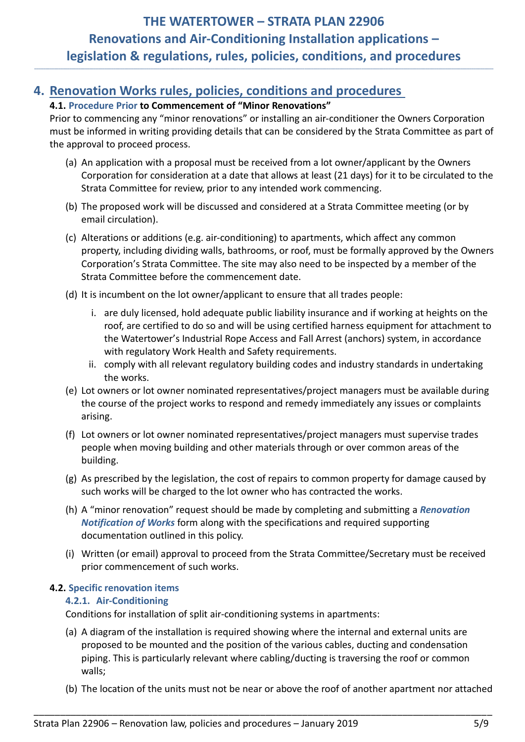**\_\_\_\_\_\_\_\_\_\_\_\_\_\_\_\_\_\_\_\_\_\_\_\_\_\_\_\_\_\_\_\_\_\_\_\_\_\_\_\_\_\_\_\_\_\_\_\_\_\_\_\_\_\_\_\_\_\_\_\_\_\_\_\_\_\_\_\_\_\_\_\_\_\_\_\_\_\_\_\_\_\_\_\_\_\_\_\_\_\_\_\_\_\_\_\_\_\_\_\_\_\_\_\_\_\_\_\_\_\_\_\_\_\_\_\_\_\_\_\_\_\_\_\_\_\_\_\_\_\_\_\_\_\_\_\_\_\_\_\_\_\_\_\_\_\_\_\_\_\_\_\_\_\_\_\_\_\_\_\_\_\_\_\_\_\_\_\_\_\_\_\_\_\_\_\_\_\_\_\_\_\_\_\_\_\_\_\_\_\_\_\_\_\_\_\_\_\_\_\_\_\_\_\_\_\_\_\_\_**

## <span id="page-4-1"></span><span id="page-4-0"></span>**4. Renovation Works rules, policies, conditions and procedures**

## **4.1. Procedure Prior to Commencement of "Minor Renovations"**

Prior to commencing any "minor renovations" or installing an air-conditioner the Owners Corporation must be informed in writing providing details that can be considered by the Strata Committee as part of the approval to proceed process.

- (a) An application with a proposal must be received from a lot owner/applicant by the Owners Corporation for consideration at a date that allows at least (21 days) for it to be circulated to the Strata Committee for review, prior to any intended work commencing.
- (b) The proposed work will be discussed and considered at a Strata Committee meeting (or by email circulation).
- (c) Alterations or additions (e.g. air-conditioning) to apartments, which affect any common property, including dividing walls, bathrooms, or roof, must be formally approved by the Owners Corporation's Strata Committee. The site may also need to be inspected by a member of the Strata Committee before the commencement date.
- (d) It is incumbent on the lot owner/applicant to ensure that all trades people:
	- i. are duly licensed, hold adequate public liability insurance and if working at heights on the roof, are certified to do so and will be using certified harness equipment for attachment to the Watertower's Industrial Rope Access and Fall Arrest (anchors) system, in accordance with regulatory Work Health and Safety requirements.
	- ii. comply with all relevant regulatory building codes and industry standards in undertaking the works.
- (e) Lot owners or lot owner nominated representatives/project managers must be available during the course of the project works to respond and remedy immediately any issues or complaints arising.
- (f) Lot owners or lot owner nominated representatives/project managers must supervise trades people when moving building and other materials through or over common areas of the building.
- (g) As prescribed by the legislation, the cost of repairs to common property for damage caused by such works will be charged to the lot owner who has contracted the works.
- (h) A "minor renovation" request should be made by completing and submitting a *Renovation Notification of Works* form along with the specifications and required supporting documentation outlined in this policy.
- (i) Written (or email) approval to proceed from the Strata Committee/Secretary must be received prior commencement of such works.

### <span id="page-4-3"></span><span id="page-4-2"></span>**4.2. Specific renovation items**

### **4.2.1. Air-Conditioning**

Conditions for installation of split air-conditioning systems in apartments:

(a) A diagram of the installation is required showing where the internal and external units are proposed to be mounted and the position of the various cables, ducting and condensation piping. This is particularly relevant where cabling/ducting is traversing the roof or common walls;

\_\_\_\_\_\_\_\_\_\_\_\_\_\_\_\_\_\_\_\_\_\_\_\_\_\_\_\_\_\_\_\_\_\_\_\_\_\_\_\_\_\_\_\_\_\_\_\_\_\_\_\_\_\_\_\_\_\_\_\_\_\_\_\_\_\_\_\_\_\_\_\_\_\_\_\_\_\_\_\_\_\_\_\_\_\_\_

(b) The location of the units must not be near or above the roof of another apartment nor attached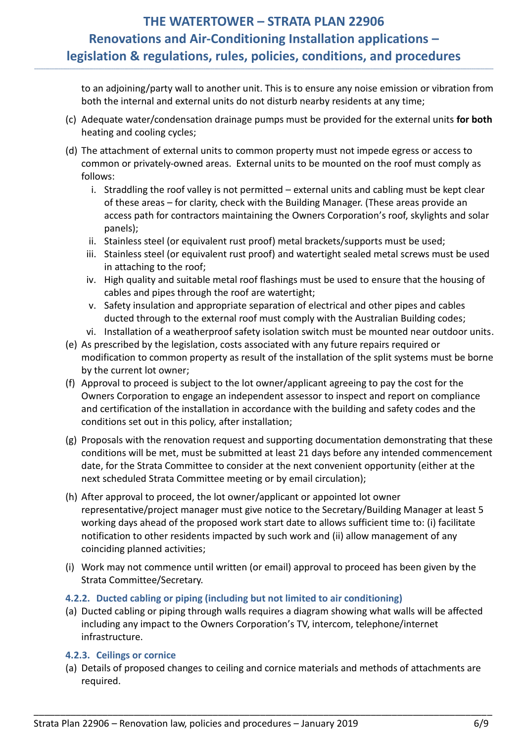**\_\_\_\_\_\_\_\_\_\_\_\_\_\_\_\_\_\_\_\_\_\_\_\_\_\_\_\_\_\_\_\_\_\_\_\_\_\_\_\_\_\_\_\_\_\_\_\_\_\_\_\_\_\_\_\_\_\_\_\_\_\_\_\_\_\_\_\_\_\_\_\_\_\_\_\_\_\_\_\_\_\_\_\_\_\_\_\_\_\_\_\_\_\_\_\_\_\_\_\_\_\_\_\_\_\_\_\_\_\_\_\_\_\_\_\_\_\_\_\_\_\_\_\_\_\_\_\_\_\_\_\_\_\_\_\_\_\_\_\_\_\_\_\_\_\_\_\_\_\_\_\_\_\_\_\_\_\_\_\_\_\_\_\_\_\_\_\_\_\_\_\_\_\_\_\_\_\_\_\_\_\_\_\_\_\_\_\_\_\_\_\_\_\_\_\_\_\_\_\_\_\_\_\_\_\_\_\_\_**

to an adjoining/party wall to another unit. This is to ensure any noise emission or vibration from both the internal and external units do not disturb nearby residents at any time;

- (c) Adequate water/condensation drainage pumps must be provided for the external units **for both** heating and cooling cycles;
- (d) The attachment of external units to common property must not impede egress or access to common or privately-owned areas. External units to be mounted on the roof must comply as follows:
	- i. Straddling the roof valley is not permitted external units and cabling must be kept clear of these areas – for clarity, check with the Building Manager. (These areas provide an access path for contractors maintaining the Owners Corporation's roof, skylights and solar panels);
	- ii. Stainless steel (or equivalent rust proof) metal brackets/supports must be used;
	- iii. Stainless steel (or equivalent rust proof) and watertight sealed metal screws must be used in attaching to the roof;
	- iv. High quality and suitable metal roof flashings must be used to ensure that the housing of cables and pipes through the roof are watertight;
	- v. Safety insulation and appropriate separation of electrical and other pipes and cables ducted through to the external roof must comply with the Australian Building codes;
	- vi. Installation of a weatherproof safety isolation switch must be mounted near outdoor units.
- (e) As prescribed by the legislation, costs associated with any future repairs required or modification to common property as result of the installation of the split systems must be borne by the current lot owner;
- (f) Approval to proceed is subject to the lot owner/applicant agreeing to pay the cost for the Owners Corporation to engage an independent assessor to inspect and report on compliance and certification of the installation in accordance with the building and safety codes and the conditions set out in this policy, after installation;
- (g) Proposals with the renovation request and supporting documentation demonstrating that these conditions will be met, must be submitted at least 21 days before any intended commencement date, for the Strata Committee to consider at the next convenient opportunity (either at the next scheduled Strata Committee meeting or by email circulation);
- (h) After approval to proceed, the lot owner/applicant or appointed lot owner representative/project manager must give notice to the Secretary/Building Manager at least 5 working days ahead of the proposed work start date to allows sufficient time to: (i) facilitate notification to other residents impacted by such work and (ii) allow management of any coinciding planned activities;
- (i) Work may not commence until written (or email) approval to proceed has been given by the Strata Committee/Secretary.

## <span id="page-5-0"></span>**4.2.2. Ducted cabling or piping (including but not limited to air conditioning)**

(a) Ducted cabling or piping through walls requires a diagram showing what walls will be affected including any impact to the Owners Corporation's TV, intercom, telephone/internet infrastructure.

## <span id="page-5-1"></span>**4.2.3. Ceilings or cornice**

(a) Details of proposed changes to ceiling and cornice materials and methods of attachments are required.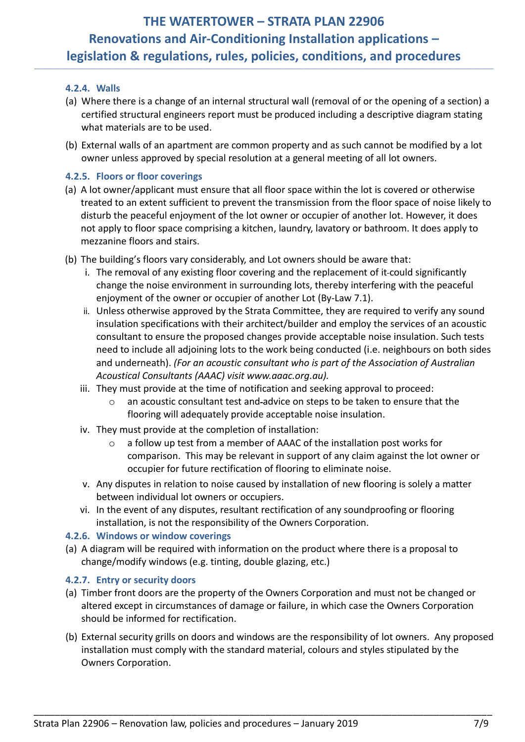<span id="page-6-0"></span>**\_\_\_\_\_\_\_\_\_\_\_\_\_\_\_\_\_\_\_\_\_\_\_\_\_\_\_\_\_\_\_\_\_\_\_\_\_\_\_\_\_\_\_\_\_\_\_\_\_\_\_\_\_\_\_\_\_\_\_\_\_\_\_\_\_\_\_\_\_\_\_\_\_\_\_\_\_\_\_\_\_\_\_\_\_\_\_\_\_\_\_\_\_\_\_\_\_\_\_\_\_\_\_\_\_\_\_\_\_\_\_\_\_\_\_\_\_\_\_\_\_\_\_\_\_\_\_\_\_\_\_\_\_\_\_\_\_\_\_\_\_\_\_\_\_\_\_\_\_\_\_\_\_\_\_\_\_\_\_\_\_\_\_\_\_\_\_\_\_\_\_\_\_\_\_\_\_\_\_\_\_\_\_\_\_\_\_\_\_\_\_\_\_\_\_\_\_\_\_\_\_\_\_\_\_\_\_\_\_**

## **4.2.4. Walls**

- (a) Where there is a change of an internal structural wall (removal of or the opening of a section) a certified structural engineers report must be produced including a descriptive diagram stating what materials are to be used.
- (b) External walls of an apartment are common property and as such cannot be modified by a lot owner unless approved by special resolution at a general meeting of all lot owners.

## <span id="page-6-1"></span>**4.2.5. Floors or floor coverings**

- (a) A lot owner/applicant must ensure that all floor space within the lot is covered or otherwise treated to an extent sufficient to prevent the transmission from the floor space of noise likely to disturb the peaceful enjoyment of the lot owner or occupier of another lot. However, it does not apply to floor space comprising a kitchen, laundry, lavatory or bathroom. It does apply to mezzanine floors and stairs.
- (b) The building's floors vary considerably, and Lot owners should be aware that:
	- i. The removal of any existing floor covering and the replacement of it could significantly change the noise environment in surrounding lots, thereby interfering with the peaceful enjoyment of the owner or occupier of another Lot (By-Law 7.1).
	- ii. Unless otherwise approved by the Strata Committee, they are required to verify any sound insulation specifications with their architect/builder and employ the services of an acoustic consultant to ensure the proposed changes provide acceptable noise insulation. Such tests need to include all adjoining lots to the work being conducted (i.e. neighbours on both sides and underneath). *(For an acoustic consultant who is part of the Association of Australian Acoustical Consultants (AAAC) visit www.aaac.org.au).*
	- iii. They must provide at the time of notification and seeking approval to proceed:
		- o an acoustic consultant test and advice on steps to be taken to ensure that the flooring will adequately provide acceptable noise insulation.
	- iv. They must provide at the completion of installation:
		- o a follow up test from a member of AAAC of the installation post works for comparison. This may be relevant in support of any claim against the lot owner or occupier for future rectification of flooring to eliminate noise.
	- v. Any disputes in relation to noise caused by installation of new flooring is solely a matter between individual lot owners or occupiers.
	- vi. In the event of any disputes, resultant rectification of any soundproofing or flooring installation, is not the responsibility of the Owners Corporation.

### <span id="page-6-2"></span>**4.2.6. Windows or window coverings**

(a) A diagram will be required with information on the product where there is a proposal to change/modify windows (e.g. tinting, double glazing, etc.)

### <span id="page-6-3"></span>**4.2.7. Entry or security doors**

(a) Timber front doors are the property of the Owners Corporation and must not be changed or altered except in circumstances of damage or failure, in which case the Owners Corporation should be informed for rectification.

\_\_\_\_\_\_\_\_\_\_\_\_\_\_\_\_\_\_\_\_\_\_\_\_\_\_\_\_\_\_\_\_\_\_\_\_\_\_\_\_\_\_\_\_\_\_\_\_\_\_\_\_\_\_\_\_\_\_\_\_\_\_\_\_\_\_\_\_\_\_\_\_\_\_\_\_\_\_\_\_\_\_\_\_\_\_\_

(b) External security grills on doors and windows are the responsibility of lot owners. Any proposed installation must comply with the standard material, colours and styles stipulated by the Owners Corporation.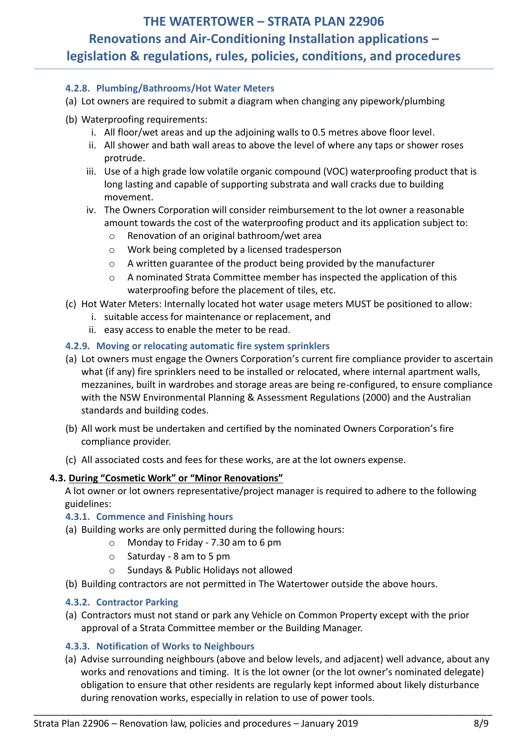<span id="page-7-0"></span>**\_\_\_\_\_\_\_\_\_\_\_\_\_\_\_\_\_\_\_\_\_\_\_\_\_\_\_\_\_\_\_\_\_\_\_\_\_\_\_\_\_\_\_\_\_\_\_\_\_\_\_\_\_\_\_\_\_\_\_\_\_\_\_\_\_\_\_\_\_\_\_\_\_\_\_\_\_\_\_\_\_\_\_\_\_\_\_\_\_\_\_\_\_\_\_\_\_\_\_\_\_\_\_\_\_\_\_\_\_\_\_\_\_\_\_\_\_\_\_\_\_\_\_\_\_\_\_\_\_\_\_\_\_\_\_\_\_\_\_\_\_\_\_\_\_\_\_\_\_\_\_\_\_\_\_\_\_\_\_\_\_\_\_\_\_\_\_\_\_\_\_\_\_\_\_\_\_\_\_\_\_\_\_\_\_\_\_\_\_\_\_\_\_\_\_\_\_\_\_\_\_\_\_\_\_\_\_\_\_**

### **4.2.8. Plumbing/Bathrooms/Hot Water Meters**

- (a) Lot owners are required to submit a diagram when changing any pipework/plumbing
- (b) Waterproofing requirements:
	- i. All floor/wet areas and up the adjoining walls to 0.5 metres above floor level.
	- ii. All shower and bath wall areas to above the level of where any taps or shower roses protrude.
	- iii. Use of a high grade low volatile organic compound (VOC) waterproofing product that is long lasting and capable of supporting substrata and wall cracks due to building movement.
	- iv. The Owners Corporation will consider reimbursement to the lot owner a reasonable amount towards the cost of the waterproofing product and its application subject to:
		- o Renovation of an original bathroom/wet area
		- o Work being completed by a licensed tradesperson
		- o A written guarantee of the product being provided by the manufacturer
		- o A nominated Strata Committee member has inspected the application of this waterproofing before the placement of tiles, etc.
- (c) Hot Water Meters: Internally located hot water usage meters MUST be positioned to allow:
	- i. suitable access for maintenance or replacement, and
	- ii. easy access to enable the meter to be read.

#### <span id="page-7-1"></span>**4.2.9. Moving or relocating automatic fire system sprinklers**

- (a) Lot owners must engage the Owners Corporation's current fire compliance provider to ascertain what (if any) fire sprinklers need to be installed or relocated, where internal apartment walls, mezzanines, built in wardrobes and storage areas are being re-configured, to ensure compliance with the NSW Environmental Planning & Assessment Regulations (2000) and the Australian standards and building codes.
- (b) All work must be undertaken and certified by the nominated Owners Corporation's fire compliance provider.
- (c) All associated costs and fees for these works, are at the lot owners expense.

### <span id="page-7-2"></span>**4.3. During "Cosmetic Work" or "Minor Renovations"**

A lot owner or lot owners representative/project manager is required to adhere to the following guidelines:

#### <span id="page-7-3"></span>**4.3.1. Commence and Finishing hours**

- (a) Building works are only permitted during the following hours:
	- o Monday to Friday 7.30 am to 6 pm
	- o Saturday 8 am to 5 pm
	- o Sundays & Public Holidays not allowed
- (b) Building contractors are not permitted in The Watertower outside the above hours.

### <span id="page-7-4"></span>**4.3.2. Contractor Parking**

(a) Contractors must not stand or park any Vehicle on Common Property except with the prior approval of a Strata Committee member or the Building Manager.

### <span id="page-7-5"></span>**4.3.3. Notification of Works to Neighbours**

(a) Advise surrounding neighbours (above and below levels, and adjacent) well advance, about any works and renovations and timing. It is the lot owner (or the lot owner's nominated delegate) obligation to ensure that other residents are regularly kept informed about likely disturbance during renovation works, especially in relation to use of power tools.